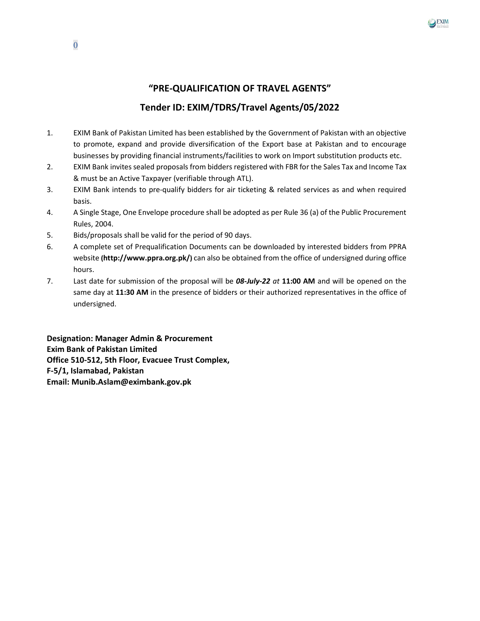

# "PRE-QUALIFICATION OF TRAVEL AGENTS" Tender ID: EXIM/TDRS/Travel Agents/05/2022

- 1. EXIM Bank of Pakistan Limited has been established by the Government of Pakistan with an objective to promote, expand and provide diversification of the Export base at Pakistan and to encourage businesses by providing financial instruments/facilities to work on Import substitution products etc.
- 2. EXIM Bank invites sealed proposals from bidders registered with FBR for the Sales Tax and Income Tax & must be an Active Taxpayer (verifiable through ATL).
- 3. EXIM Bank intends to pre-qualify bidders for air ticketing & related services as and when required basis.
- 4. A Single Stage, One Envelope procedure shall be adopted as per Rule 36 (a) of the Public Procurement Rules, 2004.
- 5. Bids/proposals shall be valid for the period of 90 days.
- 6. A complete set of Prequalification Documents can be downloaded by interested bidders from PPRA website (http://www.ppra.org.pk/) can also be obtained from the office of undersigned during office hours.
- 7. Last date for submission of the proposal will be  $08$ -July-22 at 11:00 AM and will be opened on the same day at 11:30 AM in the presence of bidders or their authorized representatives in the office of undersigned.

Designation: Manager Admin & Procurement Exim Bank of Pakistan Limited Office 510-512, 5th Floor, Evacuee Trust Complex, F-5/1, Islamabad, Pakistan Email: Munib.Aslam@eximbank.gov.pk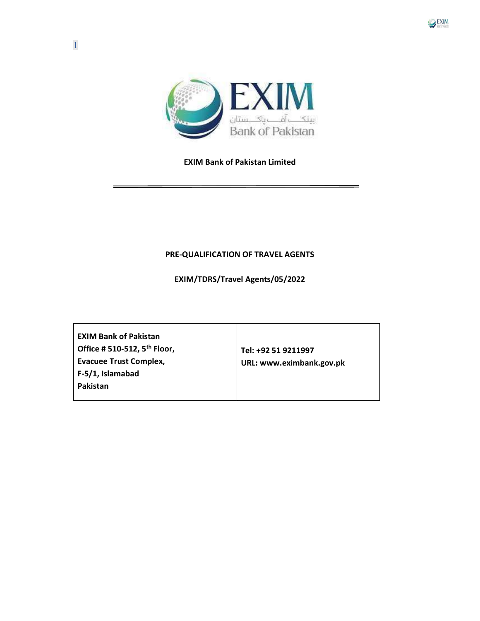



EXIM Bank of Pakistan Limited

# PRE-QUALIFICATION OF TRAVEL AGENTS

EXIM/TDRS/Travel Agents/05/2022

EXIM Bank of Pakistan Office # 510-512, 5th Floor, Evacuee Trust Complex, F-5/1, Islamabad Pakistan

Tel: +92 51 9211997 URL: www.eximbank.gov.pk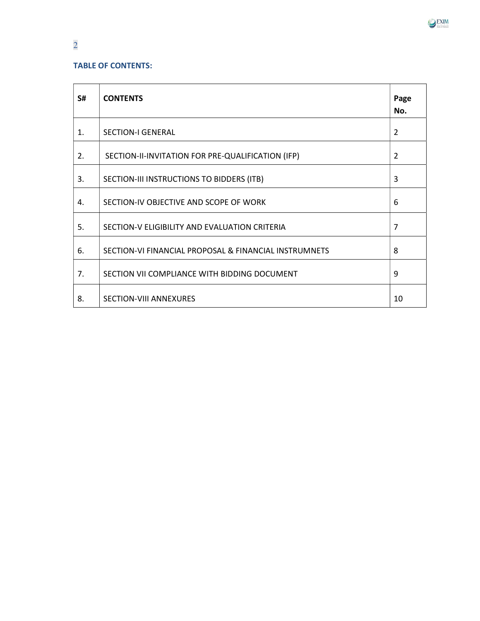

# TABLE OF CONTENTS:

| S# | <b>CONTENTS</b>                                       | Page<br>No.    |
|----|-------------------------------------------------------|----------------|
| 1. | <b>SECTION-I GENERAL</b>                              | $\overline{2}$ |
| 2. | SECTION-II-INVITATION FOR PRE-QUALIFICATION (IFP)     | 2              |
| 3. | SECTION-III INSTRUCTIONS TO BIDDERS (ITB)             | 3              |
| 4. | SECTION-IV OBJECTIVE AND SCOPE OF WORK                | 6              |
| 5. | SECTION-V ELIGIBILITY AND EVALUATION CRITERIA         | $\overline{7}$ |
| 6. | SECTION-VI FINANCIAL PROPOSAL & FINANCIAL INSTRUMNETS | 8              |
| 7. | SECTION VII COMPLIANCE WITH BIDDING DOCUMENT          | 9              |
| 8. | SECTION-VIII ANNEXURES                                | 10             |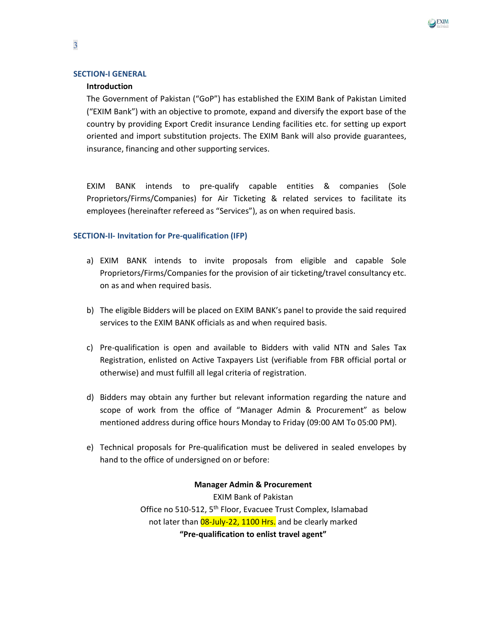

## SECTION-I GENERAL

## Introduction

The Government of Pakistan ("GoP") has established the EXIM Bank of Pakistan Limited ("EXIM Bank") with an objective to promote, expand and diversify the export base of the country by providing Export Credit insurance Lending facilities etc. for setting up export oriented and import substitution projects. The EXIM Bank will also provide guarantees, insurance, financing and other supporting services.

EXIM BANK intends to pre-qualify capable entities & companies (Sole Proprietors/Firms/Companies) for Air Ticketing & related services to facilitate its employees (hereinafter refereed as "Services"), as on when required basis.

# SECTION-II- Invitation for Pre-qualification (IFP)

- a) EXIM BANK intends to invite proposals from eligible and capable Sole Proprietors/Firms/Companies for the provision of air ticketing/travel consultancy etc. on as and when required basis.
- b) The eligible Bidders will be placed on EXIM BANK's panel to provide the said required services to the EXIM BANK officials as and when required basis.
- c) Pre-qualification is open and available to Bidders with valid NTN and Sales Tax Registration, enlisted on Active Taxpayers List (verifiable from FBR official portal or otherwise) and must fulfill all legal criteria of registration.
- d) Bidders may obtain any further but relevant information regarding the nature and scope of work from the office of "Manager Admin & Procurement" as below mentioned address during office hours Monday to Friday (09:00 AM To 05:00 PM).
- e) Technical proposals for Pre-qualification must be delivered in sealed envelopes by hand to the office of undersigned on or before:

## Manager Admin & Procurement

EXIM Bank of Pakistan Office no 510-512, 5<sup>th</sup> Floor, Evacuee Trust Complex, Islamabad not later than 08-July-22, 1100 Hrs. and be clearly marked "Pre-qualification to enlist travel agent"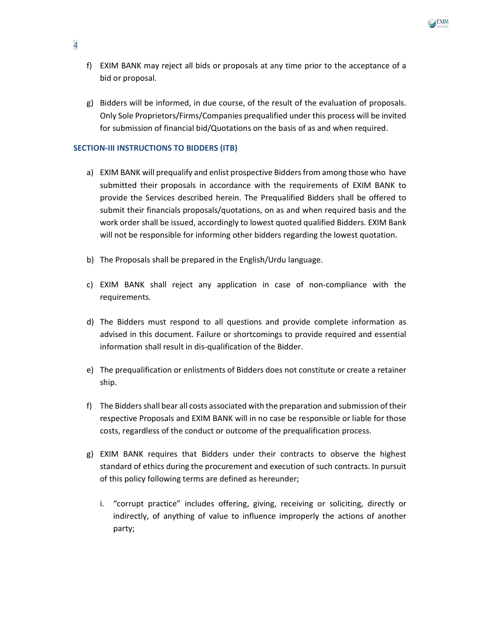

- f) EXIM BANK may reject all bids or proposals at any time prior to the acceptance of a bid or proposal.
- g) Bidders will be informed, in due course, of the result of the evaluation of proposals. Only Sole Proprietors/Firms/Companies prequalified under this process will be invited for submission of financial bid/Quotations on the basis of as and when required.

# SECTION-III INSTRUCTIONS TO BIDDERS (ITB)

- a) EXIM BANK will prequalify and enlist prospective Bidders from among those who have submitted their proposals in accordance with the requirements of EXIM BANK to provide the Services described herein. The Prequalified Bidders shall be offered to submit their financials proposals/quotations, on as and when required basis and the work order shall be issued, accordingly to lowest quoted qualified Bidders. EXIM Bank will not be responsible for informing other bidders regarding the lowest quotation.
- b) The Proposals shall be prepared in the English/Urdu language.
- c) EXIM BANK shall reject any application in case of non-compliance with the requirements.
- d) The Bidders must respond to all questions and provide complete information as advised in this document. Failure or shortcomings to provide required and essential information shall result in dis-qualification of the Bidder.
- e) The prequalification or enlistments of Bidders does not constitute or create a retainer ship.
- f) The Bidders shall bear all costs associated with the preparation and submission of their respective Proposals and EXIM BANK will in no case be responsible or liable for those costs, regardless of the conduct or outcome of the prequalification process.
- g) EXIM BANK requires that Bidders under their contracts to observe the highest standard of ethics during the procurement and execution of such contracts. In pursuit of this policy following terms are defined as hereunder;
	- i. "corrupt practice" includes offering, giving, receiving or soliciting, directly or indirectly, of anything of value to influence improperly the actions of another party;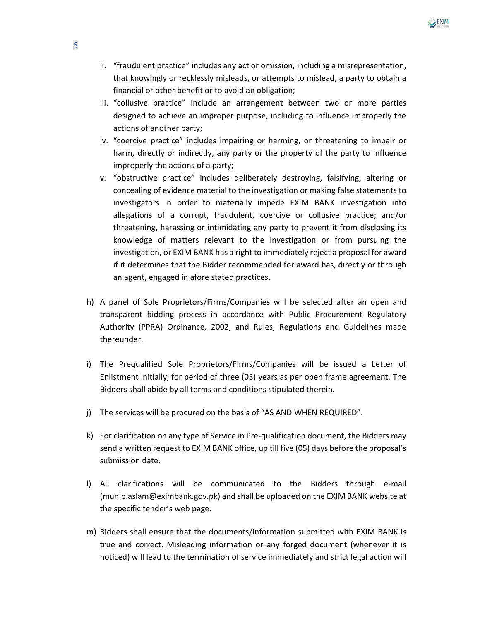

- ii. "fraudulent practice" includes any act or omission, including a misrepresentation, that knowingly or recklessly misleads, or attempts to mislead, a party to obtain a financial or other benefit or to avoid an obligation;
- iii. "collusive practice" include an arrangement between two or more parties designed to achieve an improper purpose, including to influence improperly the actions of another party;
- iv. "coercive practice" includes impairing or harming, or threatening to impair or harm, directly or indirectly, any party or the property of the party to influence improperly the actions of a party;
- v. "obstructive practice" includes deliberately destroying, falsifying, altering or concealing of evidence material to the investigation or making false statements to investigators in order to materially impede EXIM BANK investigation into allegations of a corrupt, fraudulent, coercive or collusive practice; and/or threatening, harassing or intimidating any party to prevent it from disclosing its knowledge of matters relevant to the investigation or from pursuing the investigation, or EXIM BANK has a right to immediately reject a proposal for award if it determines that the Bidder recommended for award has, directly or through an agent, engaged in afore stated practices.
- h) A panel of Sole Proprietors/Firms/Companies will be selected after an open and transparent bidding process in accordance with Public Procurement Regulatory Authority (PPRA) Ordinance, 2002, and Rules, Regulations and Guidelines made thereunder.
- i) The Prequalified Sole Proprietors/Firms/Companies will be issued a Letter of Enlistment initially, for period of three (03) years as per open frame agreement. The Bidders shall abide by all terms and conditions stipulated therein.
- j) The services will be procured on the basis of "AS AND WHEN REQUIRED".
- k) For clarification on any type of Service in Pre-qualification document, the Bidders may send a written request to EXIM BANK office, up till five (05) days before the proposal's submission date.
- l) All clarifications will be communicated to the Bidders through e-mail (munib.aslam@eximbank.gov.pk) and shall be uploaded on the EXIM BANK website at the specific tender's web page.
- m) Bidders shall ensure that the documents/information submitted with EXIM BANK is true and correct. Misleading information or any forged document (whenever it is noticed) will lead to the termination of service immediately and strict legal action will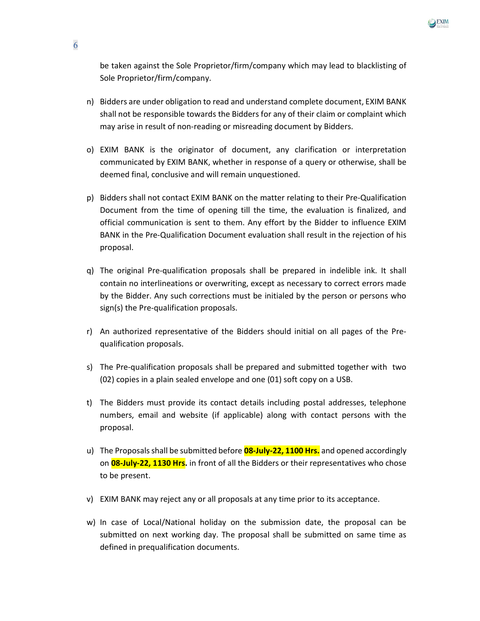

be taken against the Sole Proprietor/firm/company which may lead to blacklisting of Sole Proprietor/firm/company.

- n) Bidders are under obligation to read and understand complete document, EXIM BANK shall not be responsible towards the Bidders for any of their claim or complaint which may arise in result of non-reading or misreading document by Bidders.
- o) EXIM BANK is the originator of document, any clarification or interpretation communicated by EXIM BANK, whether in response of a query or otherwise, shall be deemed final, conclusive and will remain unquestioned.
- p) Bidders shall not contact EXIM BANK on the matter relating to their Pre-Qualification Document from the time of opening till the time, the evaluation is finalized, and official communication is sent to them. Any effort by the Bidder to influence EXIM BANK in the Pre-Qualification Document evaluation shall result in the rejection of his proposal.
- q) The original Pre-qualification proposals shall be prepared in indelible ink. It shall contain no interlineations or overwriting, except as necessary to correct errors made by the Bidder. Any such corrections must be initialed by the person or persons who sign(s) the Pre-qualification proposals.
- r) An authorized representative of the Bidders should initial on all pages of the Prequalification proposals.
- s) The Pre-qualification proposals shall be prepared and submitted together with two (02) copies in a plain sealed envelope and one (01) soft copy on a USB.
- t) The Bidders must provide its contact details including postal addresses, telephone numbers, email and website (if applicable) along with contact persons with the proposal.
- u) The Proposals shall be submitted before **08-July-22, 1100 Hrs.** and opened accordingly on **08-July-22, 1130 Hrs.** in front of all the Bidders or their representatives who chose to be present.
- v) EXIM BANK may reject any or all proposals at any time prior to its acceptance.
- w) In case of Local/National holiday on the submission date, the proposal can be submitted on next working day. The proposal shall be submitted on same time as defined in prequalification documents.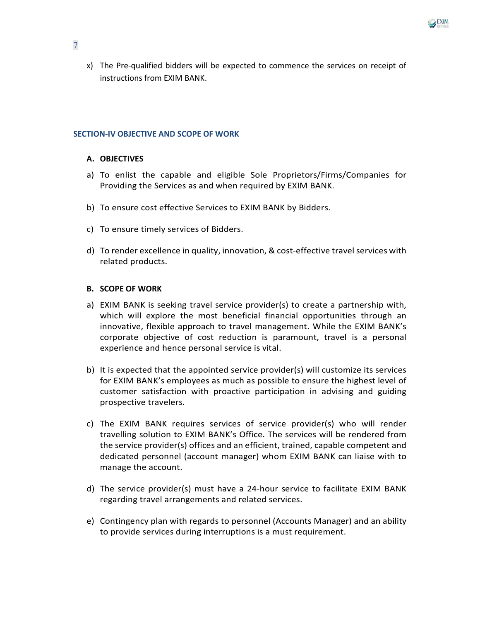

x) The Pre-qualified bidders will be expected to commence the services on receipt of instructions from EXIM BANK.

## SECTION-IV OBJECTIVE AND SCOPE OF WORK

## A. OBJECTIVES

- a) To enlist the capable and eligible Sole Proprietors/Firms/Companies for Providing the Services as and when required by EXIM BANK.
- b) To ensure cost effective Services to EXIM BANK by Bidders.
- c) To ensure timely services of Bidders.
- d) To render excellence in quality, innovation, & cost-effective travel services with related products.

## B. SCOPE OF WORK

- a) EXIM BANK is seeking travel service provider(s) to create a partnership with, which will explore the most beneficial financial opportunities through an innovative, flexible approach to travel management. While the EXIM BANK's corporate objective of cost reduction is paramount, travel is a personal experience and hence personal service is vital.
- b) It is expected that the appointed service provider(s) will customize its services for EXIM BANK's employees as much as possible to ensure the highest level of customer satisfaction with proactive participation in advising and guiding prospective travelers.
- c) The EXIM BANK requires services of service provider(s) who will render travelling solution to EXIM BANK's Office. The services will be rendered from the service provider(s) offices and an efficient, trained, capable competent and dedicated personnel (account manager) whom EXIM BANK can liaise with to manage the account.
- d) The service provider(s) must have a 24-hour service to facilitate EXIM BANK regarding travel arrangements and related services.
- e) Contingency plan with regards to personnel (Accounts Manager) and an ability to provide services during interruptions is a must requirement.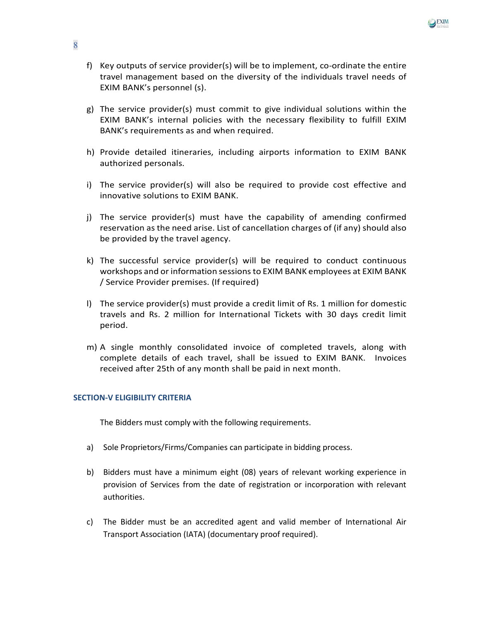

- f) Key outputs of service provider(s) will be to implement, co-ordinate the entire travel management based on the diversity of the individuals travel needs of EXIM BANK's personnel (s).
- g) The service provider(s) must commit to give individual solutions within the EXIM BANK's internal policies with the necessary flexibility to fulfill EXIM BANK's requirements as and when required.
- h) Provide detailed itineraries, including airports information to EXIM BANK authorized personals.
- i) The service provider(s) will also be required to provide cost effective and innovative solutions to EXIM BANK.
- j) The service provider(s) must have the capability of amending confirmed reservation as the need arise. List of cancellation charges of (if any) should also be provided by the travel agency.
- k) The successful service provider(s) will be required to conduct continuous workshops and or information sessions to EXIM BANK employees at EXIM BANK / Service Provider premises. (If required)
- l) The service provider(s) must provide a credit limit of Rs. 1 million for domestic travels and Rs. 2 million for International Tickets with 30 days credit limit period.
- m) A single monthly consolidated invoice of completed travels, along with complete details of each travel, shall be issued to EXIM BANK. Invoices received after 25th of any month shall be paid in next month.

#### SECTION-V ELIGIBILITY CRITERIA

The Bidders must comply with the following requirements.

- a) Sole Proprietors/Firms/Companies can participate in bidding process.
- b) Bidders must have a minimum eight (08) years of relevant working experience in provision of Services from the date of registration or incorporation with relevant authorities.
- c) The Bidder must be an accredited agent and valid member of International Air Transport Association (IATA) (documentary proof required).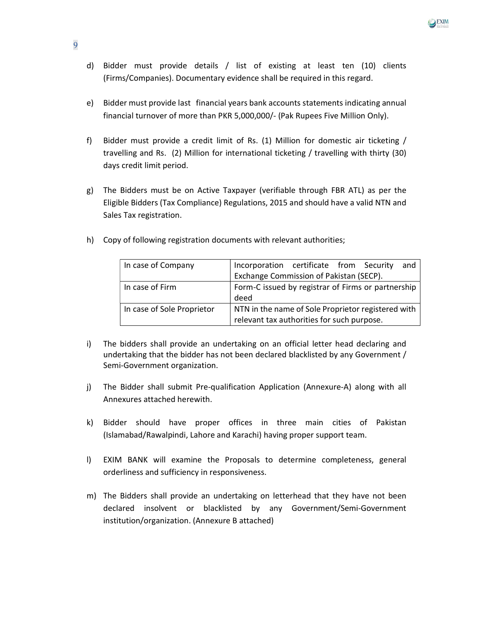

- d) Bidder must provide details / list of existing at least ten (10) clients (Firms/Companies). Documentary evidence shall be required in this regard.
- e) Bidder must provide last financial years bank accounts statements indicating annual financial turnover of more than PKR 5,000,000/- (Pak Rupees Five Million Only).
- f) Bidder must provide a credit limit of Rs. (1) Million for domestic air ticketing / travelling and Rs. (2) Million for international ticketing / travelling with thirty (30) days credit limit period.
- g) The Bidders must be on Active Taxpayer (verifiable through FBR ATL) as per the Eligible Bidders (Tax Compliance) Regulations, 2015 and should have a valid NTN and Sales Tax registration.
- h) Copy of following registration documents with relevant authorities;

| In case of Company         | Incorporation certificate from Security<br>and             |  |  |  |
|----------------------------|------------------------------------------------------------|--|--|--|
|                            | Exchange Commission of Pakistan (SECP).                    |  |  |  |
| In case of Firm            | Form-C issued by registrar of Firms or partnership<br>deed |  |  |  |
| In case of Sole Proprietor | NTN in the name of Sole Proprietor registered with         |  |  |  |
|                            | relevant tax authorities for such purpose.                 |  |  |  |

- i) The bidders shall provide an undertaking on an official letter head declaring and undertaking that the bidder has not been declared blacklisted by any Government / Semi-Government organization.
- j) The Bidder shall submit Pre-qualification Application (Annexure-A) along with all Annexures attached herewith.
- k) Bidder should have proper offices in three main cities of Pakistan (Islamabad/Rawalpindi, Lahore and Karachi) having proper support team.
- l) EXIM BANK will examine the Proposals to determine completeness, general orderliness and sufficiency in responsiveness.
- m) The Bidders shall provide an undertaking on letterhead that they have not been declared insolvent or blacklisted by any Government/Semi-Government institution/organization. (Annexure B attached)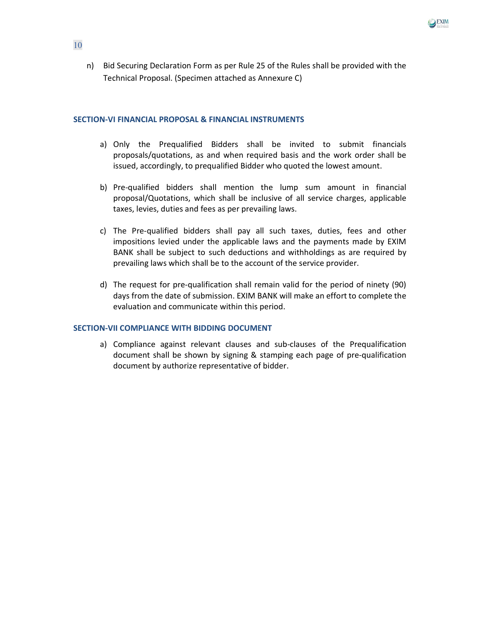

n) Bid Securing Declaration Form as per Rule 25 of the Rules shall be provided with the Technical Proposal. (Specimen attached as Annexure C)

#### SECTION-VI FINANCIAL PROPOSAL & FINANCIAL INSTRUMENTS

- a) Only the Prequalified Bidders shall be invited to submit financials proposals/quotations, as and when required basis and the work order shall be issued, accordingly, to prequalified Bidder who quoted the lowest amount.
- b) Pre-qualified bidders shall mention the lump sum amount in financial proposal/Quotations, which shall be inclusive of all service charges, applicable taxes, levies, duties and fees as per prevailing laws.
- c) The Pre-qualified bidders shall pay all such taxes, duties, fees and other impositions levied under the applicable laws and the payments made by EXIM BANK shall be subject to such deductions and withholdings as are required by prevailing laws which shall be to the account of the service provider.
- d) The request for pre-qualification shall remain valid for the period of ninety (90) days from the date of submission. EXIM BANK will make an effort to complete the evaluation and communicate within this period.

#### SECTION-VII COMPLIANCE WITH BIDDING DOCUMENT

a) Compliance against relevant clauses and sub-clauses of the Prequalification document shall be shown by signing & stamping each page of pre-qualification document by authorize representative of bidder.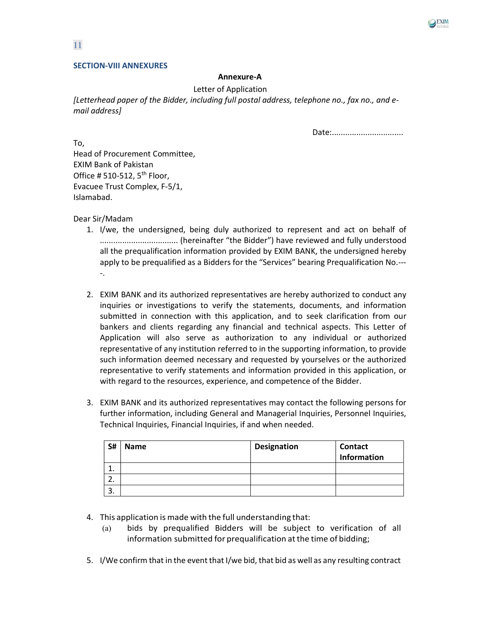

#### SECTION-VIII ANNEXURES

#### Annexure-A

Letter of Application

[Letterhead paper of the Bidder, including full postal address, telephone no., fax no., and email address]

Date:.................................

To, Head of Procurement Committee, EXIM Bank of Pakistan Office # 510-512,  $5<sup>th</sup>$  Floor, Evacuee Trust Complex, F-5/1, Islamabad.

Dear Sir/Madam

- 1. I/we, the undersigned, being duly authorized to represent and act on behalf of ................................... (hereinafter "the Bidder") have reviewed and fully understood all the prequalification information provided by EXIM BANK, the undersigned hereby apply to be prequalified as a Bidders for the "Services" bearing Prequalification No.--- -.
- 2. EXIM BANK and its authorized representatives are hereby authorized to conduct any inquiries or investigations to verify the statements, documents, and information submitted in connection with this application, and to seek clarification from our bankers and clients regarding any financial and technical aspects. This Letter of Application will also serve as authorization to any individual or authorized representative of any institution referred to in the supporting information, to provide such information deemed necessary and requested by yourselves or the authorized representative to verify statements and information provided in this application, or with regard to the resources, experience, and competence of the Bidder.
- 3. EXIM BANK and its authorized representatives may contact the following persons for further information, including General and Managerial Inquiries, Personnel Inquiries, Technical Inquiries, Financial Inquiries, if and when needed.

| S# | <b>Name</b> | Designation | Contact<br>Information |
|----|-------------|-------------|------------------------|
| ∸. |             |             |                        |
| ۷. |             |             |                        |
| 3. |             |             |                        |

- 4. This application is made with the full understanding that:
	- (a) bids by prequalified Bidders will be subject to verification of all information submitted for prequalification at the time of bidding;
- 5. I/We confirm that in the event that I/we bid, that bid as well as any resulting contract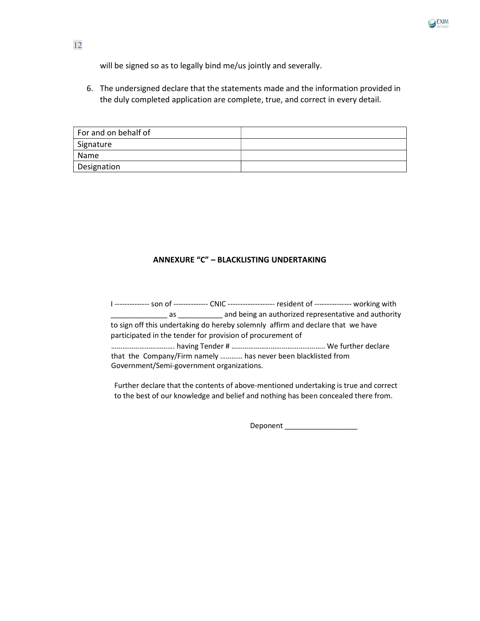

will be signed so as to legally bind me/us jointly and severally.

6. The undersigned declare that the statements made and the information provided in the duly completed application are complete, true, and correct in every detail.

| For and on behalf of |  |
|----------------------|--|
| Signature            |  |
| Name                 |  |
| Designation          |  |

# ANNEXURE "C" – BLACKLISTING UNDERTAKING

I -------------- son of -------------- CNIC ------------------- resident of --------------- working with s \_\_\_\_\_\_\_\_\_\_\_\_ and being an authorized representative and authority to sign off this undertaking do hereby solemnly affirm and declare that we have participated in the tender for provision of procurement of ……………………………. having Tender # ………………………………………….. We further declare that the Company/Firm namely ………… has never been blacklisted from Government/Semi-government organizations.

Further declare that the contents of above-mentioned undertaking is true and correct to the best of our knowledge and belief and nothing has been concealed there from.

Deponent **Deponent** 

12